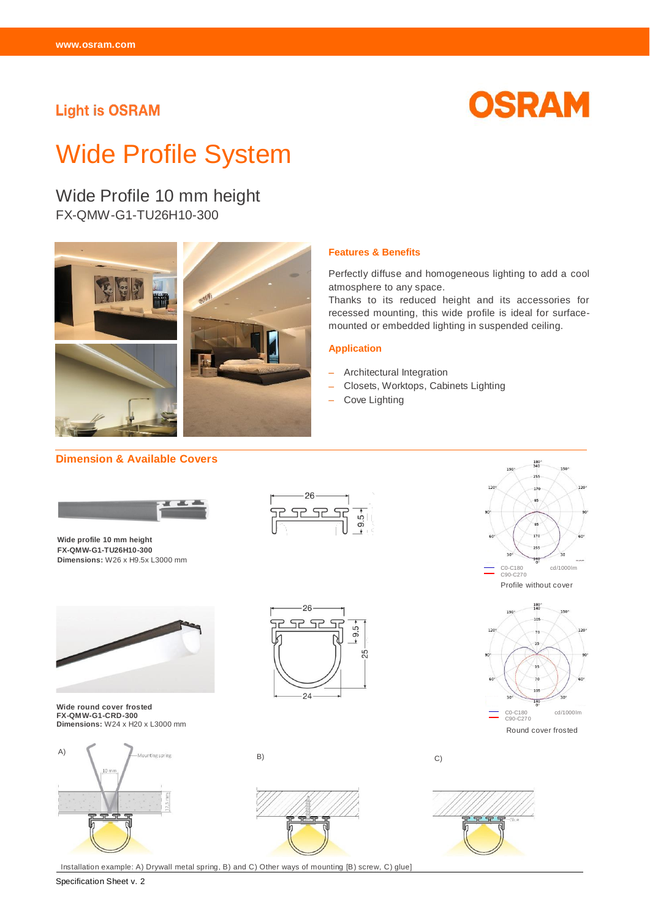## **Light is OSRAM**



# Wide Profile System

Wide Profile 10 mm height FX-QMW-G1-TU26H10-300



#### **Features & Benefits**

Perfectly diffuse and homogeneous lighting to add a cool atmosphere to any space.

Thanks to its reduced height and its accessories for recessed mounting, this wide profile is ideal for surfacemounted or embedded lighting in suspended ceiling.

#### **Application**

- Architectural Integration
- Closets, Worktops, Cabinets Lighting
- Cove Lighting

 $9.5 -$ 

#### **Dimension & Available Covers**



**Wide profile 10 mm height FX-QMW-G1-TU26H10-300 Dimensions:** W26 x H9.5x L3000 mm



**Wide round cover frosted FX-QMW-G1-CRD-300 Dimensions:** W24 x H20 x L3000 mm



26 52 52  $9.5 -$ 25

24

26 <u>Sc</u> <u>яс</u>





Round cover frosted





Installation example: A) Drywall metal spring, B) and C) Other ways of mounting [B) screw, C) glue]

Specification Sheet v. 2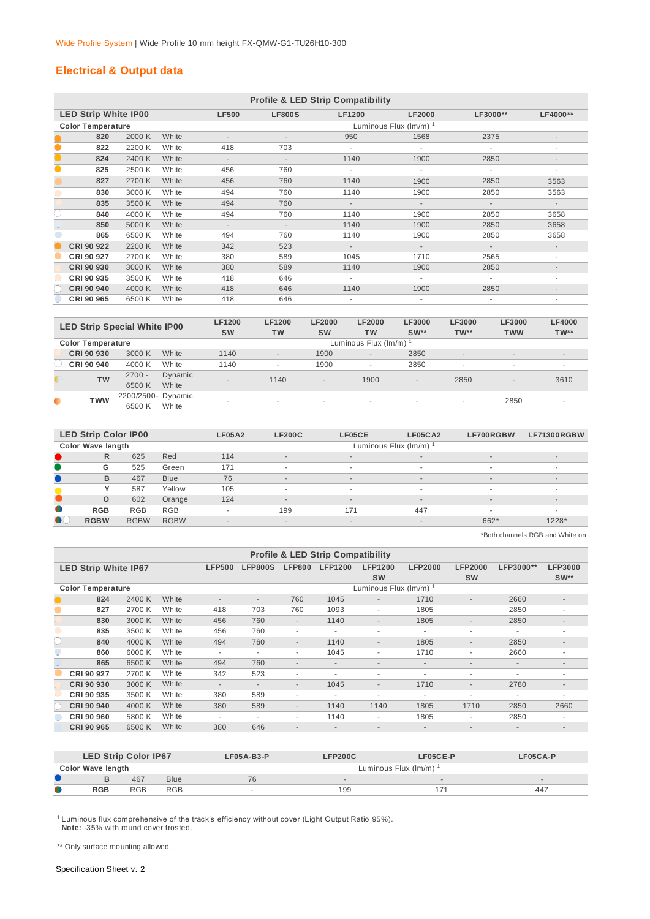## **Electrical & Output data**

|           | <b>Profile &amp; LED Strip Compatibility</b> |        |       |                          |                             |               |               |          |                          |  |  |  |
|-----------|----------------------------------------------|--------|-------|--------------------------|-----------------------------|---------------|---------------|----------|--------------------------|--|--|--|
|           | <b>LED Strip White IP00</b>                  |        |       | <b>LF500</b>             | <b>LF800S</b>               | <b>LF1200</b> | <b>LF2000</b> | LF3000** | LF4000**                 |  |  |  |
|           | <b>Color Temperature</b>                     |        |       |                          | Luminous Flux $(lm/m)^{-1}$ |               |               |          |                          |  |  |  |
|           | 820                                          | 2000 K | White |                          |                             | 950           | 1568          | 2375     | $\overline{\phantom{a}}$ |  |  |  |
| $\bullet$ | 822                                          | 2200 K | White | 418                      | 703                         |               |               |          | ۰                        |  |  |  |
| $\bullet$ | 824                                          | 2400 K | White | $\overline{\phantom{a}}$ | $\overline{\phantom{a}}$    | 1140          | 1900          | 2850     | $\overline{\phantom{a}}$ |  |  |  |
| $\bullet$ | 825                                          | 2500 K | White | 456                      | 760                         | ٠             | ٠             | ٠        | ۰                        |  |  |  |
|           | 827                                          | 2700 K | White | 456                      | 760                         | 1140          | 1900          | 2850     | 3563                     |  |  |  |
|           | 830                                          | 3000 K | White | 494                      | 760                         | 1140          | 1900          | 2850     | 3563                     |  |  |  |
|           | 835                                          | 3500 K | White | 494                      | 760                         | $\sim$        | $\sim$        | $\sim$   | $\overline{\phantom{a}}$ |  |  |  |
| O         | 840                                          | 4000 K | White | 494                      | 760                         | 1140          | 1900          | 2850     | 3658                     |  |  |  |
|           | 850                                          | 5000 K | White | $\overline{\phantom{a}}$ | $\overline{\phantom{a}}$    | 1140          | 1900          | 2850     | 3658                     |  |  |  |
|           | 865                                          | 6500 K | White | 494                      | 760                         | 1140          | 1900          | 2850     | 3658                     |  |  |  |
|           | CRI 90 922                                   | 2200 K | White | 342                      | 523                         | $\sim$        | $\sim$        | $\sim$   | $\overline{\phantom{a}}$ |  |  |  |
|           | CRI 90 927                                   | 2700 K | White | 380                      | 589                         | 1045          | 1710          | 2565     | $\sim$                   |  |  |  |
|           | CRI 90 930                                   | 3000 K | White | 380                      | 589                         | 1140          | 1900          | 2850     |                          |  |  |  |
|           | CRI 90 935                                   | 3500 K | White | 418                      | 646                         | ٠             |               |          | ٠                        |  |  |  |
|           | <b>CRI 90 940</b>                            | 4000 K | White | 418                      | 646                         | 1140          | 1900          | 2850     | $\overline{\phantom{a}}$ |  |  |  |
|           | CRI 90 965                                   | 6500 K | White | 418                      | 646                         |               |               |          | ۰                        |  |  |  |

| <b>LED Strip Special White IP00</b> |                              |                  | <b>LF1200</b><br><b>SW</b> | <b>LF1200</b><br><b>TW</b> | <b>LF2000</b><br><b>SW</b> | <b>LF2000</b><br><b>TW</b> | LF3000<br>$SW**$ | <b>LF3000</b><br>$TW**$  | LF3000<br><b>TWW</b> | <b>LF4000</b><br>$TW**$  |  |  |
|-------------------------------------|------------------------------|------------------|----------------------------|----------------------------|----------------------------|----------------------------|------------------|--------------------------|----------------------|--------------------------|--|--|
| <b>Color Temperature</b>            |                              |                  |                            | Luminous Flux (Im/m) 1     |                            |                            |                  |                          |                      |                          |  |  |
| CRI 90 930                          | 3000 K                       | White            | 1140                       | $\overline{\phantom{a}}$   | 1900                       | $\sim$                     | 2850             | $\sim$                   | $\sim$               | $\sim$                   |  |  |
| CRI 90 940                          | 4000 K                       | White            | 1140                       | ۰                          | 1900                       | ۰                          | 2850             | $\overline{\phantom{a}}$ | $\sim$               |                          |  |  |
| <b>TW</b>                           | $2700 -$<br>6500K            | Dynamic<br>White | $\sim$                     | 1140                       | $\overline{\phantom{a}}$   | 1900                       | $\sim$           | 2850                     | $\sim$               | 3610                     |  |  |
| TWW                                 | 2200/2500- Dynamic<br>6500 K | White            | ۰                          | $\overline{\phantom{a}}$   | ۰                          | $\overline{\phantom{a}}$   | ۰                | $\sim$                   | 2850                 | $\overline{\phantom{a}}$ |  |  |

|           | <b>LED Strip Color IP00</b> |             |             | <b>LF05A2</b>            | <b>LF200C</b>            | LF05CE | LF05CA2                  | LF700RGBW | <b>LF71300RGBW</b>       |  |  |  |  |
|-----------|-----------------------------|-------------|-------------|--------------------------|--------------------------|--------|--------------------------|-----------|--------------------------|--|--|--|--|
|           | <b>Color Wave length</b>    |             |             |                          | Luminous Flux (Im/m)     |        |                          |           |                          |  |  |  |  |
|           | R                           | 625         | Red         | 114                      | $\sim$                   | $\sim$ | $\sim$                   | $\sim$    | $\overline{\phantom{a}}$ |  |  |  |  |
|           | G                           | 525         | Green       | 171                      | $\overline{\phantom{a}}$ |        | $\sim$                   |           | ۰                        |  |  |  |  |
|           | B                           | 467         | <b>Blue</b> | 76                       | $\overline{\phantom{a}}$ | $\sim$ | $\sim$                   | $\sim$    | $\overline{\phantom{a}}$ |  |  |  |  |
|           |                             | 587         | Yellow      | 105                      | $\overline{\phantom{a}}$ |        | $\overline{\phantom{a}}$ |           | ۰                        |  |  |  |  |
|           | $\circ$                     | 602         | Orange      | 124                      | $\overline{\phantom{a}}$ | $\sim$ | $\overline{\phantom{a}}$ | $\sim$    | $\overline{\phantom{a}}$ |  |  |  |  |
| $\bullet$ | <b>RGB</b>                  | <b>RGB</b>  | <b>RGB</b>  | ۰                        | 199                      | 171    | 447                      |           | ۰                        |  |  |  |  |
| $\bullet$ | <b>RGBW</b>                 | <b>RGBW</b> | <b>RGBW</b> | $\overline{\phantom{a}}$ | $\overline{\phantom{a}}$ | $\sim$ | $\overline{\phantom{a}}$ | 662*      | 1228*                    |  |  |  |  |
|           |                             |             |             |                          |                          |        |                          |           |                          |  |  |  |  |

\*Both channels RGB and White on

| <b>Profile &amp; LED Strip Compatibility</b> |        |       |                          |                          |                          |                          |                          |                          |                          |                          |                          |
|----------------------------------------------|--------|-------|--------------------------|--------------------------|--------------------------|--------------------------|--------------------------|--------------------------|--------------------------|--------------------------|--------------------------|
| <b>LED Strip White IP67</b>                  |        |       | <b>LFP500</b>            | <b>LFP800S</b>           | <b>LFP800</b>            | <b>LFP1200</b>           | <b>LFP1200</b>           | <b>LFP2000</b>           | <b>LFP2000</b>           | LFP3000**                | <b>LFP3000</b>           |
|                                              |        |       |                          |                          |                          |                          | <b>SW</b>                |                          | <b>SW</b>                |                          | $SW**$                   |
| <b>Color Temperature</b>                     |        |       |                          |                          |                          |                          | Luminous Flux (Im/m) 1   |                          |                          |                          |                          |
| 824                                          | 2400 K | White | $\overline{\phantom{a}}$ | $\overline{\phantom{a}}$ | 760                      | 1045                     | $\overline{\phantom{a}}$ | 1710                     | $\overline{\phantom{a}}$ | 2660                     | $\overline{\phantom{a}}$ |
| 827                                          | 2700 K | White | 418                      | 703                      | 760                      | 1093                     | ٠                        | 1805                     |                          | 2850                     | ٠                        |
| 830                                          | 3000 K | White | 456                      | 760                      | $\sim$                   | 1140                     | $\overline{\phantom{a}}$ | 1805                     | $\sim$                   | 2850                     | $\sim$                   |
| 835                                          | 3500 K | White | 456                      | 760                      | ۰                        | ۰                        | $\overline{\phantom{a}}$ | ٠                        | ٠                        | ۰                        | ۰                        |
| 840                                          | 4000 K | White | 494                      | 760                      | $\overline{\phantom{a}}$ | 1140                     | $\overline{\phantom{a}}$ | 1805                     | $\sim$                   | 2850                     | ٠                        |
| 860                                          | 6000 K | White | $\overline{\phantom{a}}$ | $\blacksquare$           | ٠                        | 1045                     | ٠                        | 1710                     | ٠                        | 2660                     | ٠                        |
| 865                                          | 6500 K | White | 494                      | 760                      | $\sim$                   | $\overline{\phantom{a}}$ | $\overline{\phantom{a}}$ | $\overline{\phantom{a}}$ | ٠                        | $\overline{\phantom{a}}$ | ٠                        |
| <b>CRI 90 927</b>                            | 2700 K | White | 342                      | 523                      | ٠                        | $\overline{\phantom{a}}$ | $\overline{\phantom{a}}$ | ٠                        | ٠                        | ۰                        | ۰                        |
| <b>CRI 90 930</b>                            | 3000 K | White | $\overline{\phantom{a}}$ | $\overline{\phantom{a}}$ | $\sim$                   | 1045                     | $\overline{\phantom{a}}$ | 1710                     | $\sim$                   | 2780                     | ٠                        |
| CRI 90 935                                   | 3500 K | White | 380                      | 589                      | ٠                        | $\overline{\phantom{a}}$ | $\overline{\phantom{a}}$ | ٠                        | ۰                        | ٠                        | ٠                        |
| <b>CRI 90 940</b>                            | 4000 K | White | 380                      | 589                      | $\overline{\phantom{a}}$ | 1140                     | 1140                     | 1805                     | 1710                     | 2850                     | 2660                     |
| CRI 90 960                                   | 5800 K | White | $\overline{\phantom{a}}$ | $\overline{a}$           | ٠                        | 1140                     | ٠                        | 1805                     | ٠                        | 2850                     | ٠                        |
| CRI 90 965                                   | 6500 K | White | 380                      | 646                      | $\overline{\phantom{a}}$ | $\overline{\phantom{a}}$ | $\overline{a}$           | $\overline{\phantom{a}}$ | ۰                        | $\overline{\phantom{a}}$ | ٠                        |

|           | <b>LED Strip Color IP67</b>            |     |             | $LF05A-B3-P$ | LFP200C              | LF05CE-P | LF05CA-P |  |  |  |
|-----------|----------------------------------------|-----|-------------|--------------|----------------------|----------|----------|--|--|--|
|           | Color Wave length                      |     |             |              | Luminous Flux (Im/m) |          |          |  |  |  |
|           |                                        | 467 | <b>Blue</b> | 76           |                      | $\sim$   |          |  |  |  |
| $\bullet$ | <b>RGB</b><br><b>RGB</b><br><b>RGB</b> |     |             |              | 199                  |          | 447      |  |  |  |

<sup>1</sup> Luminous flux comprehensive of the track's efficiency without cover (Light Output Ratio 95%).  **Note:** -35% with round cover frosted.

\*\* Only surface mounting allowed.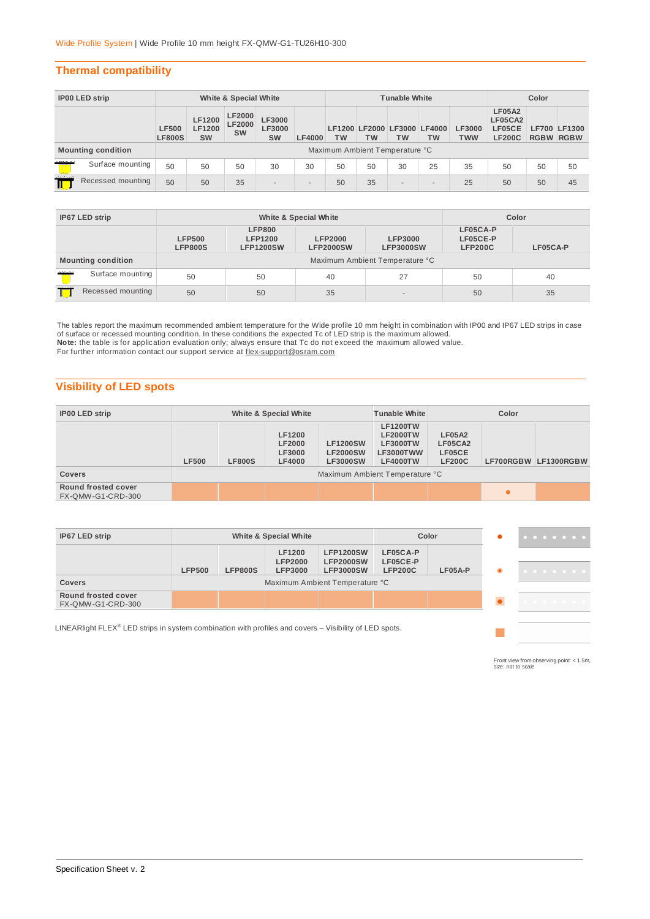## **Thermal compatibility**

| <b>IP00 LED strip</b> |                           | White & Special White         |                                             |                                             |                                      |                | <b>Tunable White</b> |                                |           |                                   | Color                       |                                                     |                  |                     |
|-----------------------|---------------------------|-------------------------------|---------------------------------------------|---------------------------------------------|--------------------------------------|----------------|----------------------|--------------------------------|-----------|-----------------------------------|-----------------------------|-----------------------------------------------------|------------------|---------------------|
|                       |                           | <b>LF500</b><br><b>LF800S</b> | <b>LF1200</b><br><b>LF1200</b><br><b>SW</b> | <b>LF2000</b><br><b>LF2000</b><br><b>SW</b> | <b>LF3000</b><br>LF3000<br><b>SW</b> | <b>LF4000</b>  | <b>TW</b>            | <b>TW</b>                      | <b>TW</b> | LF1200 LF2000 LF3000 LF4000<br>тw | <b>LF3000</b><br><b>TWW</b> | <b>LF05A2</b><br>LF05CA2<br>LF05CE<br><b>LF200C</b> | <b>RGBW RGBW</b> | <b>LF700 LF1300</b> |
|                       | <b>Mounting condition</b> |                               |                                             |                                             |                                      |                |                      | Maximum Ambient Temperature °C |           |                                   |                             |                                                     |                  |                     |
| 1111111111            | Surface mounting          | 50                            | 50                                          | 50                                          | 30                                   | 30             | 50                   | 50                             | 30        | 25                                | 35                          | 50                                                  | 50               | 50                  |
| ,,,,,,,,,<br>П        | Recessed mounting         | 50                            | 50                                          | 35                                          | $\sim$                               | $\overline{a}$ | 50                   | 35                             | $\sim$    | $\sim$                            | 25                          | 50                                                  | 50               | 45                  |

| IP67 LED strip                  |                           |                                 | White & Special White                               | Color                              |                                    |                                        |          |  |  |
|---------------------------------|---------------------------|---------------------------------|-----------------------------------------------------|------------------------------------|------------------------------------|----------------------------------------|----------|--|--|
|                                 |                           | <b>LFP500</b><br><b>LFP800S</b> | <b>LFP800</b><br><b>LFP1200</b><br><b>LFP1200SW</b> | <b>LFP2000</b><br><b>LFP2000SW</b> | <b>LFP3000</b><br><b>LFP3000SW</b> | LF05CA-P<br>LF05CE-P<br><b>LFP200C</b> | LF05CA-P |  |  |
|                                 | <b>Mounting condition</b> |                                 | Maximum Ambient Temperature °C                      |                                    |                                    |                                        |          |  |  |
| mund.                           | Surface mounting          | 50                              | 50                                                  | 40                                 | 27                                 | 50                                     | 40       |  |  |
| 1111111111<br>Recessed mounting |                           | 50                              | 50                                                  | 35                                 | $\sim$                             | 50                                     | 35       |  |  |

The tables report the maximum recommended ambient temperature for the Wide profile 10 mm height in combination with IP00 and IP67 LED strips in case<br>of surface or recessed mounting condition. In these conditions the expect **Note:** the table is for application evaluation only; always ensure that Tc do not exceed the maximum allowed value. For further information contact our support service at flex-support@osram.com

## **Visibility of LED spots**

| <b>IP00 LED strip</b>                    | White & Special White |                                |                                                                  |                                                       | <b>Tunable White</b>                                                                  | Color                                               |  |                      |
|------------------------------------------|-----------------------|--------------------------------|------------------------------------------------------------------|-------------------------------------------------------|---------------------------------------------------------------------------------------|-----------------------------------------------------|--|----------------------|
|                                          | <b>LF500</b>          | <b>LF800S</b>                  | <b>LF1200</b><br><b>LF2000</b><br><b>LF3000</b><br><b>LF4000</b> | <b>LF1200SW</b><br><b>LF2000SW</b><br><b>LF3000SW</b> | <b>LF1200TW</b><br><b>LF2000TW</b><br><b>LF3000TW</b><br>LF3000TWW<br><b>LF4000TW</b> | <b>LF05A2</b><br>LF05CA2<br>LF05CE<br><b>LF200C</b> |  | LF700RGBW LF1300RGBW |
| <b>Covers</b>                            |                       | Maximum Ambient Temperature °C |                                                                  |                                                       |                                                                                       |                                                     |  |                      |
| Round frosted cover<br>FX-QMW-G1-CRD-300 |                       |                                |                                                                  |                                                       |                                                                                       |                                                     |  |                      |

| IP67 LED strip                                                                                                       |               |                | White & Special White |                                |  | Color | $\bullet\bullet\bullet\bullet\bullet\bullet\bullet\bullet$ |
|----------------------------------------------------------------------------------------------------------------------|---------------|----------------|-----------------------|--------------------------------|--|-------|------------------------------------------------------------|
|                                                                                                                      | <b>LFP500</b> | <b>LFP800S</b> | LF05A-P               | .                              |  |       |                                                            |
| <b>Covers</b>                                                                                                        |               |                |                       | Maximum Ambient Temperature °C |  |       |                                                            |
| Round frosted cover<br>FX-QMW-G1-CRD-300                                                                             |               |                |                       |                                |  |       | .                                                          |
| LINEARlight FLEX <sup>®</sup> LED strips in system combination with profiles and covers $-$ Visibility of LED spots. |               |                |                       |                                |  |       |                                                            |

Front view from observing point: < 1.5m, size: not to scale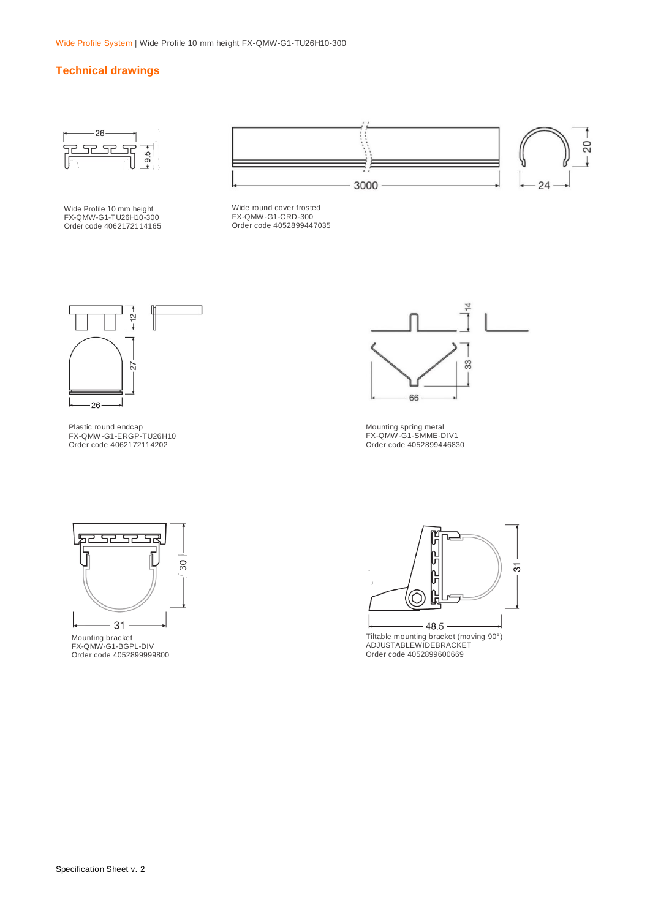## **Technical drawings**



Wide Profile 10 mm height FX-QMW-G1-TU26H10-300 Order code 4062172114165



Wide round cover frosted FX-QMW-G1-CRD-300 Order code 4052899447035



Plastic round endcap FX-QMW-G1-ERGP-TU26H10 Order code 4062172114202



Mounting spring metal FX-QMW-G1-SMME-DIV1 Order code 4052899446830



Mounting bracket FX-QMW-G1-BGPL-DIV Order code 4052899999800



Tiltable mounting bracket (moving 90°) ADJUSTABLEWIDEBRACKET Order code 4052899600669